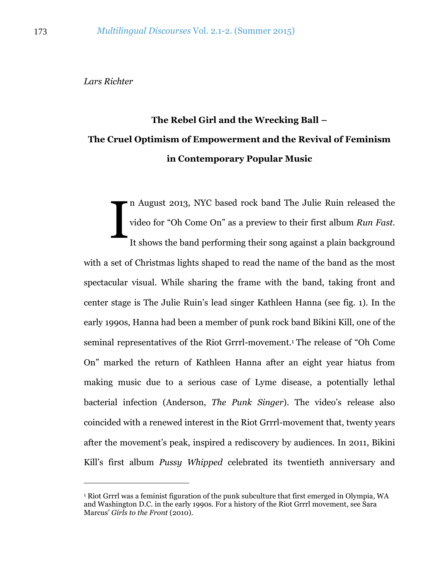#### *Lars Richter*

 $\overline{a}$ 

# **The Rebel Girl and the Wrecking Ball – The Cruel Optimism of Empowerment and the Revival of Feminism in Contemporary Popular Music**

n August 2013, NYC based rock band The Julie Ruin released the video for "Oh Come On" as a preview to their first album *Run Fast*. I

It shows the band performing their song against a plain background with a set of Christmas lights shaped to read the name of the band as the most spectacular visual. While sharing the frame with the band, taking front and center stage is The Julie Ruin's lead singer Kathleen Hanna (see fig. 1). In the early 1990s, Hanna had been a member of punk rock band Bikini Kill, one of the seminal representatives of the Riot Grrrl-movement.<sup>1</sup> The release of "Oh Come On" marked the return of Kathleen Hanna after an eight year hiatus from making music due to a serious case of Lyme disease, a potentially lethal bacterial infection (Anderson, *The Punk Singer*). The video's release also coincided with a renewed interest in the Riot Grrrl-movement that, twenty years after the movement's peak, inspired a rediscovery by audiences. In 2011, Bikini Kill's first album *Pussy Whipped* celebrated its twentieth anniversary and

<sup>1</sup> Riot Grrrl was a feminist figuration of the punk subculture that first emerged in Olympia, WA and Washington D.C. in the early 1990s. For a history of the Riot Grrrl movement, see Sara Marcus' *Girls to the Front* (2010).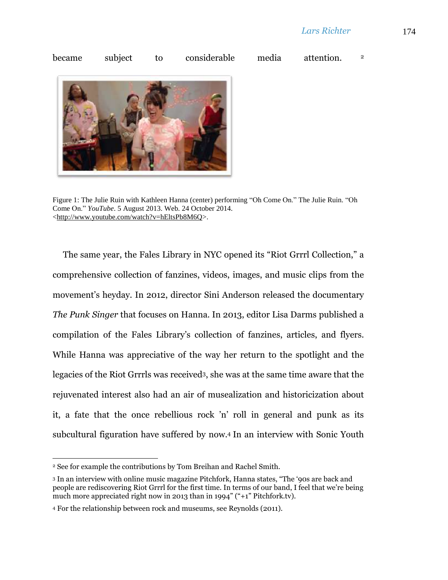#### *Lars Richter* 174

# became subject to considerable media attention. <sup>2</sup>



Figure 1: The Julie Ruin with Kathleen Hanna (center) performing "Oh Come On." The Julie Ruin. "Oh Come On." *YouTube*. 5 August 2013. Web. 24 October 2014. [<http://www.youtube.com/watch?v=hEltsPb8M6Q>](http://www.youtube.com/watch?v=hEltsPb8M6Q).

The same year, the Fales Library in NYC opened its "Riot Grrrl Collection," a comprehensive collection of fanzines, videos, images, and music clips from the movement's heyday. In 2012, director Sini Anderson released the documentary *The Punk Singer* that focuses on Hanna. In 2013, editor Lisa Darms published a compilation of the Fales Library's collection of fanzines, articles, and flyers. While Hanna was appreciative of the way her return to the spotlight and the legacies of the Riot Grrrls was received3, she was at the same time aware that the rejuvenated interest also had an air of musealization and historicization about it, a fate that the once rebellious rock 'n' roll in general and punk as its subcultural figuration have suffered by now.<sup>4</sup> In an interview with Sonic Youth

<sup>2</sup> See for example the contributions by Tom Breihan and Rachel Smith.

<sup>3</sup> In an interview with online music magazine Pitchfork, Hanna states, "The '90s are back and people are rediscovering Riot Grrrl for the first time. In terms of our band, I feel that we're being much more appreciated right now in 2013 than in 1994" ("+1" Pitchfork.tv).

<sup>4</sup> For the relationship between rock and museums, see Reynolds (2011).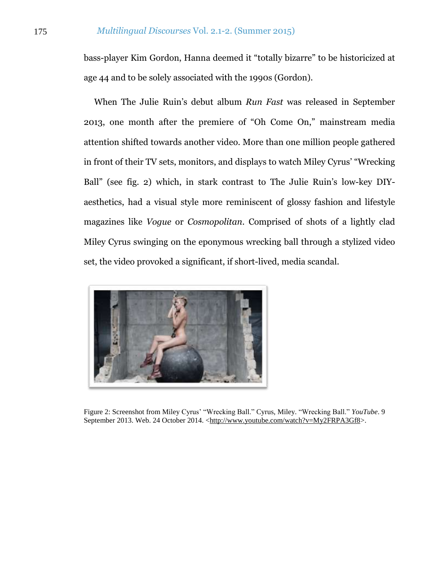bass-player Kim Gordon, Hanna deemed it "totally bizarre" to be historicized at age 44 and to be solely associated with the 1990s (Gordon).

When The Julie Ruin's debut album *Run Fast* was released in September 2013, one month after the premiere of "Oh Come On," mainstream media attention shifted towards another video. More than one million people gathered in front of their TV sets, monitors, and displays to watch Miley Cyrus' "Wrecking Ball" (see fig. 2) which, in stark contrast to The Julie Ruin's low-key DIYaesthetics, had a visual style more reminiscent of glossy fashion and lifestyle magazines like *Vogue* or *Cosmopolitan*. Comprised of shots of a lightly clad Miley Cyrus swinging on the eponymous wrecking ball through a stylized video set, the video provoked a significant, if short-lived, media scandal.



Figure 2: Screenshot from Miley Cyrus' "Wrecking Ball." Cyrus, Miley. "Wrecking Ball." *YouTube*. 9 September 2013. Web. 24 October 2014. [<http://www.youtube.com/watch?v=My2FRPA3Gf8>](http://www.youtube.com/watch?v=My2FRPA3Gf8).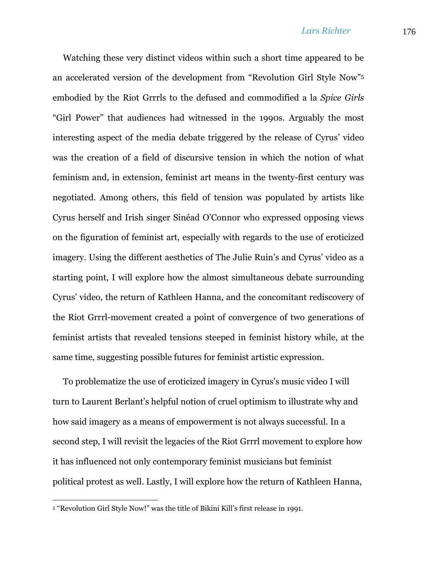Watching these very distinct videos within such a short time appeared to be an accelerated version of the development from "Revolution Girl Style Now"<sup>5</sup> embodied by the Riot Grrrls to the defused and commodified a la *Spice Girls* "Girl Power" that audiences had witnessed in the 1990s. Arguably the most interesting aspect of the media debate triggered by the release of Cyrus' video was the creation of a field of discursive tension in which the notion of what feminism and, in extension, feminist art means in the twenty-first century was negotiated. Among others, this field of tension was populated by artists like Cyrus herself and Irish singer Sinéad O'Connor who expressed opposing views on the figuration of feminist art, especially with regards to the use of eroticized imagery. Using the different aesthetics of The Julie Ruin's and Cyrus' video as a starting point, I will explore how the almost simultaneous debate surrounding Cyrus' video, the return of Kathleen Hanna, and the concomitant rediscovery of the Riot Grrrl-movement created a point of convergence of two generations of feminist artists that revealed tensions steeped in feminist history while, at the same time, suggesting possible futures for feminist artistic expression.

To problematize the use of eroticized imagery in Cyrus's music video I will turn to Laurent Berlant's helpful notion of cruel optimism to illustrate why and how said imagery as a means of empowerment is not always successful. In a second step, I will revisit the legacies of the Riot Grrrl movement to explore how it has influenced not only contemporary feminist musicians but feminist political protest as well. Lastly, I will explore how the return of Kathleen Hanna,

<sup>5</sup> "Revolution Girl Style Now!" was the title of Bikini Kill's first release in 1991.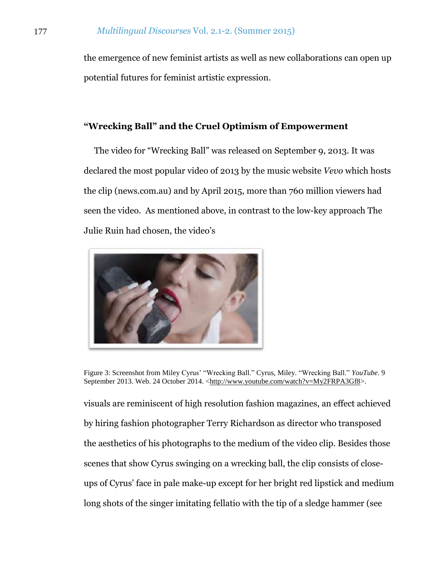the emergence of new feminist artists as well as new collaborations can open up potential futures for feminist artistic expression.

# **"Wrecking Ball" and the Cruel Optimism of Empowerment**

The video for "Wrecking Ball" was released on September 9, 2013. It was declared the most popular video of 2013 by the music website *Vevo* which hosts the clip (news.com.au) and by April 2015, more than 760 million viewers had seen the video. As mentioned above, in contrast to the low-key approach The Julie Ruin had chosen, the video's



Figure 3: Screenshot from Miley Cyrus' "Wrecking Ball." Cyrus, Miley. "Wrecking Ball." *YouTube*. 9 September 2013. Web. 24 October 2014. [<http://www.youtube.com/watch?v=My2FRPA3Gf8>](http://www.youtube.com/watch?v=My2FRPA3Gf8).

visuals are reminiscent of high resolution fashion magazines, an effect achieved by hiring fashion photographer Terry Richardson as director who transposed the aesthetics of his photographs to the medium of the video clip. Besides those scenes that show Cyrus swinging on a wrecking ball, the clip consists of closeups of Cyrus' face in pale make-up except for her bright red lipstick and medium long shots of the singer imitating fellatio with the tip of a sledge hammer (see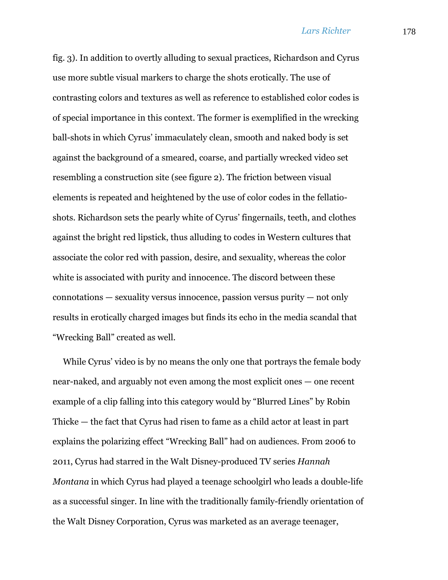fig. 3). In addition to overtly alluding to sexual practices, Richardson and Cyrus use more subtle visual markers to charge the shots erotically. The use of contrasting colors and textures as well as reference to established color codes is of special importance in this context. The former is exemplified in the wrecking ball-shots in which Cyrus' immaculately clean, smooth and naked body is set against the background of a smeared, coarse, and partially wrecked video set resembling a construction site (see figure 2). The friction between visual elements is repeated and heightened by the use of color codes in the fellatioshots. Richardson sets the pearly white of Cyrus' fingernails, teeth, and clothes against the bright red lipstick, thus alluding to codes in Western cultures that associate the color red with passion, desire, and sexuality, whereas the color white is associated with purity and innocence. The discord between these  $comotations$  — sexuality versus innocence, passion versus purity — not only results in erotically charged images but finds its echo in the media scandal that "Wrecking Ball" created as well.

While Cyrus' video is by no means the only one that portrays the female body near-naked, and arguably not even among the most explicit ones — one recent example of a clip falling into this category would by "Blurred Lines" by Robin Thicke — the fact that Cyrus had risen to fame as a child actor at least in part explains the polarizing effect "Wrecking Ball" had on audiences. From 2006 to 2011, Cyrus had starred in the Walt Disney-produced TV series *Hannah Montana* in which Cyrus had played a teenage schoolgirl who leads a double-life as a successful singer. In line with the traditionally family-friendly orientation of the Walt Disney Corporation, Cyrus was marketed as an average teenager,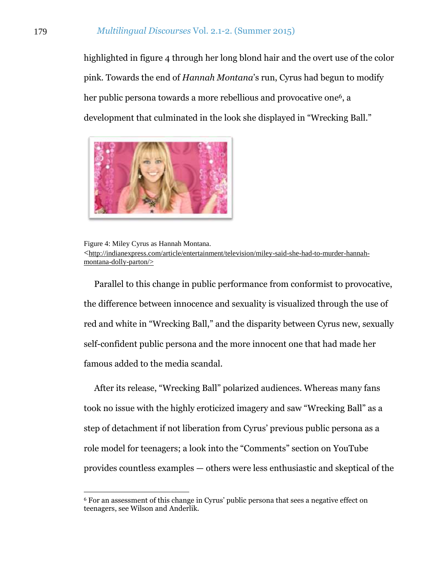highlighted in figure 4 through her long blond hair and the overt use of the color pink. Towards the end of *Hannah Montana*'s run, Cyrus had begun to modify her public persona towards a more rebellious and provocative one<sup>6</sup>, a development that culminated in the look she displayed in "Wrecking Ball."



Figure 4: Miley Cyrus as Hannah Montana. <[http://indianexpress.com/article/entertainment/television/miley-said-she-had-to-murder-hannah](http://indianexpress.com/article/entertainment/television/miley-said-she-had-to-murder-hannah-montana-dolly-parton/)[montana-dolly-parton/>](http://indianexpress.com/article/entertainment/television/miley-said-she-had-to-murder-hannah-montana-dolly-parton/)

Parallel to this change in public performance from conformist to provocative, the difference between innocence and sexuality is visualized through the use of red and white in "Wrecking Ball," and the disparity between Cyrus new, sexually self-confident public persona and the more innocent one that had made her famous added to the media scandal.

After its release, "Wrecking Ball" polarized audiences. Whereas many fans took no issue with the highly eroticized imagery and saw "Wrecking Ball" as a step of detachment if not liberation from Cyrus' previous public persona as a role model for teenagers; a look into the "Comments" section on YouTube provides countless examples — others were less enthusiastic and skeptical of the

<sup>6</sup> For an assessment of this change in Cyrus' public persona that sees a negative effect on teenagers, see Wilson and Anderlik.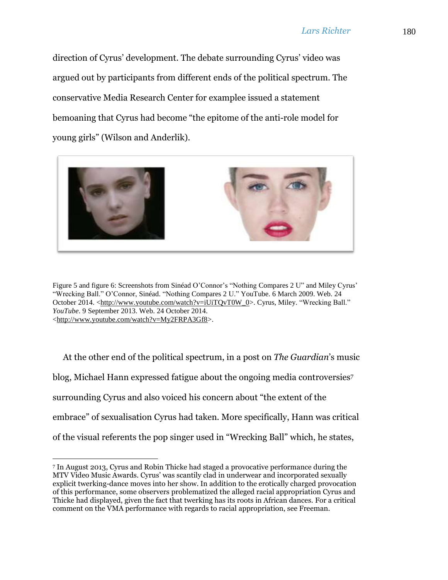direction of Cyrus' development. The debate surrounding Cyrus' video was argued out by participants from different ends of the political spectrum. The conservative Media Research Center for examplee issued a statement bemoaning that Cyrus had become "the epitome of the anti-role model for young girls" (Wilson and Anderlik).



Figure 5 and figure 6: Screenshots from Sinéad O'Connor's "Nothing Compares 2 U" and Miley Cyrus' "Wrecking Ball." O'Connor, Sinéad. "Nothing Compares 2 U." YouTube. 6 March 2009. Web. 24 October 2014. [<http://www.youtube.com/watch?v=iUiTQvT0W\\_0>](http://www.youtube.com/watch?v=iUiTQvT0W_0). Cyrus, Miley. "Wrecking Ball." *YouTube*. 9 September 2013. Web. 24 October 2014. [<http://www.youtube.com/watch?v=My2FRPA3Gf8>](http://www.youtube.com/watch?v=My2FRPA3Gf8).

At the other end of the political spectrum, in a post on *The Guardian*'s music blog, Michael Hann expressed fatigue about the ongoing media controversies<sup>7</sup> surrounding Cyrus and also voiced his concern about "the extent of the embrace" of sexualisation Cyrus had taken. More specifically, Hann was critical of the visual referents the pop singer used in "Wrecking Ball" which, he states,

<sup>7</sup> In August 2013, Cyrus and Robin Thicke had staged a provocative performance during the MTV Video Music Awards. Cyrus' was scantily clad in underwear and incorporated sexually explicit twerking-dance moves into her show. In addition to the erotically charged provocation of this performance, some observers problematized the alleged racial appropriation Cyrus and Thicke had displayed, given the fact that twerking has its roots in African dances. For a critical comment on the VMA performance with regards to racial appropriation, see Freeman.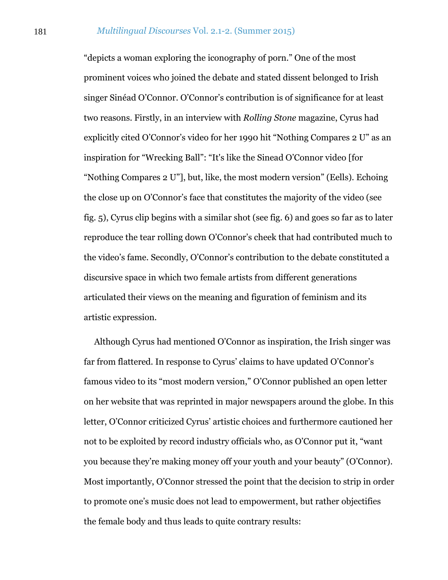"depicts a woman exploring the iconography of porn." One of the most prominent voices who joined the debate and stated dissent belonged to Irish singer Sinéad O'Connor. O'Connor's contribution is of significance for at least two reasons. Firstly, in an interview with *Rolling Stone* magazine, Cyrus had explicitly cited O'Connor's video for her 1990 hit "Nothing Compares 2 U" as an inspiration for "Wrecking Ball": "It's like the Sinead O'Connor video [for "Nothing Compares 2 U"], but, like, the most modern version" (Eells). Echoing the close up on O'Connor's face that constitutes the majority of the video (see fig. 5), Cyrus clip begins with a similar shot (see fig. 6) and goes so far as to later reproduce the tear rolling down O'Connor's cheek that had contributed much to the video's fame. Secondly, O'Connor's contribution to the debate constituted a discursive space in which two female artists from different generations articulated their views on the meaning and figuration of feminism and its artistic expression.

Although Cyrus had mentioned O'Connor as inspiration, the Irish singer was far from flattered. In response to Cyrus' claims to have updated O'Connor's famous video to its "most modern version," O'Connor published an open letter on her website that was reprinted in major newspapers around the globe. In this letter, O'Connor criticized Cyrus' artistic choices and furthermore cautioned her not to be exploited by record industry officials who, as O'Connor put it, "want you because they're making money off your youth and your beauty" (O'Connor). Most importantly, O'Connor stressed the point that the decision to strip in order to promote one's music does not lead to empowerment, but rather objectifies the female body and thus leads to quite contrary results: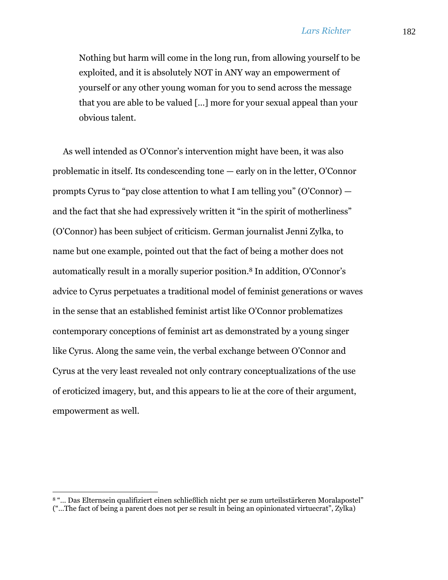Nothing but harm will come in the long run, from allowing yourself to be exploited, and it is absolutely NOT in ANY way an empowerment of yourself or any other young woman for you to send across the message that you are able to be valued […] more for your sexual appeal than your obvious talent.

As well intended as O'Connor's intervention might have been, it was also problematic in itself. Its condescending tone — early on in the letter, O'Connor prompts Cyrus to "pay close attention to what I am telling you" (O'Connor) and the fact that she had expressively written it "in the spirit of motherliness" (O'Connor) has been subject of criticism. German journalist Jenni Zylka, to name but one example, pointed out that the fact of being a mother does not automatically result in a morally superior position.<sup>8</sup> In addition, O'Connor's advice to Cyrus perpetuates a traditional model of feminist generations or waves in the sense that an established feminist artist like O'Connor problematizes contemporary conceptions of feminist art as demonstrated by a young singer like Cyrus. Along the same vein, the verbal exchange between O'Connor and Cyrus at the very least revealed not only contrary conceptualizations of the use of eroticized imagery, but, and this appears to lie at the core of their argument, empowerment as well.

 $^{\text{8}}$  "… Das Elternsein qualifiziert einen schließlich nicht per se zum urteilsstärkeren Moralapostel" ("…The fact of being a parent does not per se result in being an opinionated virtuecrat", Zylka)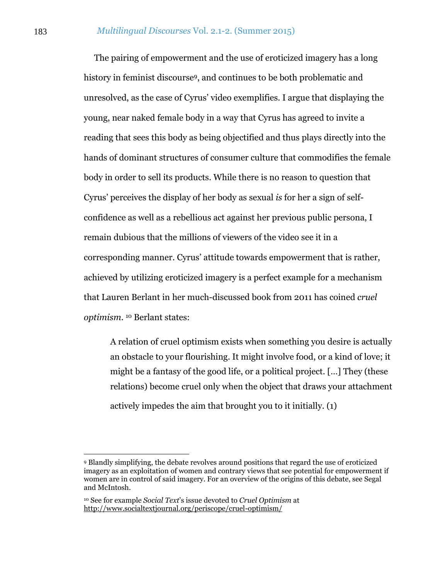The pairing of empowerment and the use of eroticized imagery has a long history in feminist discourse9, and continues to be both problematic and unresolved, as the case of Cyrus' video exemplifies. I argue that displaying the young, near naked female body in a way that Cyrus has agreed to invite a reading that sees this body as being objectified and thus plays directly into the hands of dominant structures of consumer culture that commodifies the female body in order to sell its products. While there is no reason to question that Cyrus' perceives the display of her body as sexual *is* for her a sign of selfconfidence as well as a rebellious act against her previous public persona, I remain dubious that the millions of viewers of the video see it in a corresponding manner. Cyrus' attitude towards empowerment that is rather, achieved by utilizing eroticized imagery is a perfect example for a mechanism that Lauren Berlant in her much-discussed book from 2011 has coined *cruel optimism*. <sup>10</sup> Berlant states:

A relation of cruel optimism exists when something you desire is actually an obstacle to your flourishing. It might involve food, or a kind of love; it might be a fantasy of the good life, or a political project. […] They (these relations) become cruel only when the object that draws your attachment actively impedes the aim that brought you to it initially. (1)

<sup>9</sup> Blandly simplifying, the debate revolves around positions that regard the use of eroticized imagery as an exploitation of women and contrary views that see potential for empowerment if women are in control of said imagery. For an overview of the origins of this debate, see Segal and McIntosh.

<sup>10</sup> See for example *Social Text*'s issue devoted to *Cruel Optimism* at <http://www.socialtextjournal.org/periscope/cruel-optimism/>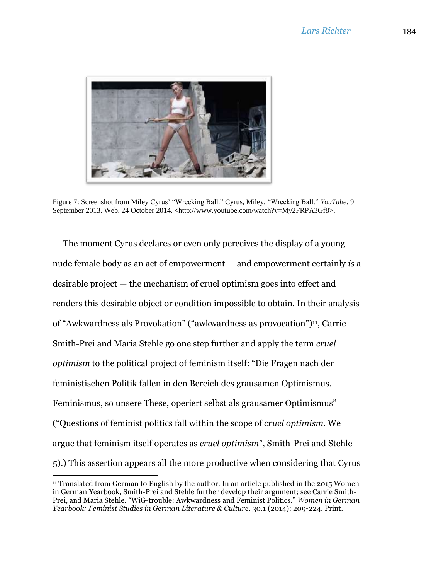

Figure 7: Screenshot from Miley Cyrus' "Wrecking Ball." Cyrus, Miley. "Wrecking Ball." *YouTube*. 9 September 2013. Web. 24 October 2014. [<http://www.youtube.com/watch?v=My2FRPA3Gf8>](http://www.youtube.com/watch?v=My2FRPA3Gf8).

The moment Cyrus declares or even only perceives the display of a young nude female body as an act of empowerment — and empowerment certainly *is* a desirable project — the mechanism of cruel optimism goes into effect and renders this desirable object or condition impossible to obtain. In their analysis of "Awkwardness als Provokation" ("awkwardness as provocation") 11 , Carrie Smith-Prei and Maria Stehle go one step further and apply the term *cruel optimism* to the political project of feminism itself: "Die Fragen nach der feministischen Politik fallen in den Bereich des grausamen Optimismus. Feminismus, so unsere These, operiert selbst als grausamer Optimismus" ("Questions of feminist politics fall within the scope of *cruel optimism*. We argue that feminism itself operates as *cruel optimism*", Smith-Prei and Stehle 5).) This assertion appears all the more productive when considering that Cyrus

<sup>11</sup> Translated from German to English by the author. In an article published in the 2015 Women in German Yearbook, Smith-Prei and Stehle further develop their argument; see Carrie Smith-Prei, and Maria Stehle. "WiG-trouble: Awkwardness and Feminist Politics." *Women in German Yearbook: Feminist Studies in German Literature & Culture*. 30.1 (2014): 209-224. Print.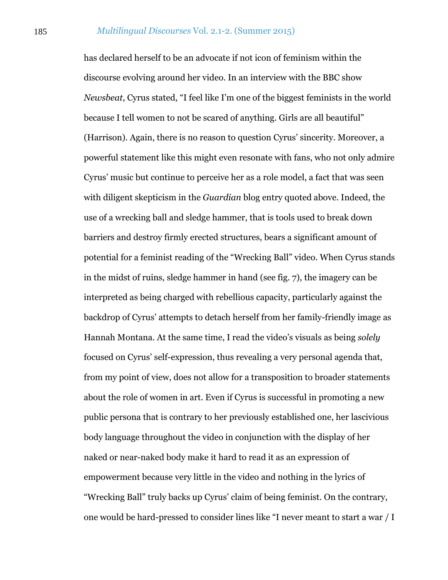has declared herself to be an advocate if not icon of feminism within the discourse evolving around her video. In an interview with the BBC show *Newsbeat*, Cyrus stated, "I feel like I'm one of the biggest feminists in the world because I tell women to not be scared of anything. Girls are all beautiful" (Harrison). Again, there is no reason to question Cyrus' sincerity. Moreover, a powerful statement like this might even resonate with fans, who not only admire Cyrus' music but continue to perceive her as a role model, a fact that was seen with diligent skepticism in the *Guardian* blog entry quoted above. Indeed, the use of a wrecking ball and sledge hammer, that is tools used to break down barriers and destroy firmly erected structures, bears a significant amount of potential for a feminist reading of the "Wrecking Ball" video. When Cyrus stands in the midst of ruins, sledge hammer in hand (see fig. 7), the imagery can be interpreted as being charged with rebellious capacity, particularly against the backdrop of Cyrus' attempts to detach herself from her family-friendly image as Hannah Montana. At the same time, I read the video's visuals as being *solely* focused on Cyrus' self-expression, thus revealing a very personal agenda that, from my point of view, does not allow for a transposition to broader statements about the role of women in art. Even if Cyrus is successful in promoting a new public persona that is contrary to her previously established one, her lascivious body language throughout the video in conjunction with the display of her naked or near-naked body make it hard to read it as an expression of empowerment because very little in the video and nothing in the lyrics of "Wrecking Ball" truly backs up Cyrus' claim of being feminist. On the contrary, one would be hard-pressed to consider lines like "I never meant to start a war / I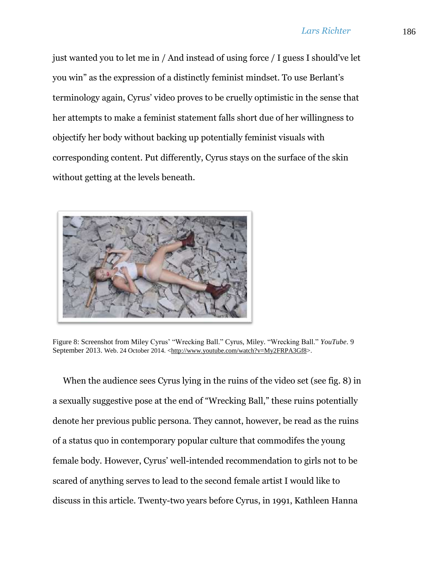just wanted you to let me in / And instead of using force / I guess I should've let you win" as the expression of a distinctly feminist mindset. To use Berlant's terminology again, Cyrus' video proves to be cruelly optimistic in the sense that her attempts to make a feminist statement falls short due of her willingness to objectify her body without backing up potentially feminist visuals with corresponding content. Put differently, Cyrus stays on the surface of the skin without getting at the levels beneath.



Figure 8: Screenshot from Miley Cyrus' "Wrecking Ball." Cyrus, Miley. "Wrecking Ball." *YouTube*. 9 September 2013. Web. 24 October 2014. [<http://www.youtube.com/watch?v=My2FRPA3Gf8>](http://www.youtube.com/watch?v=My2FRPA3Gf8).

When the audience sees Cyrus lying in the ruins of the video set (see fig. 8) in a sexually suggestive pose at the end of "Wrecking Ball," these ruins potentially denote her previous public persona. They cannot, however, be read as the ruins of a status quo in contemporary popular culture that commodifes the young female body. However, Cyrus' well-intended recommendation to girls not to be scared of anything serves to lead to the second female artist I would like to discuss in this article. Twenty-two years before Cyrus, in 1991, Kathleen Hanna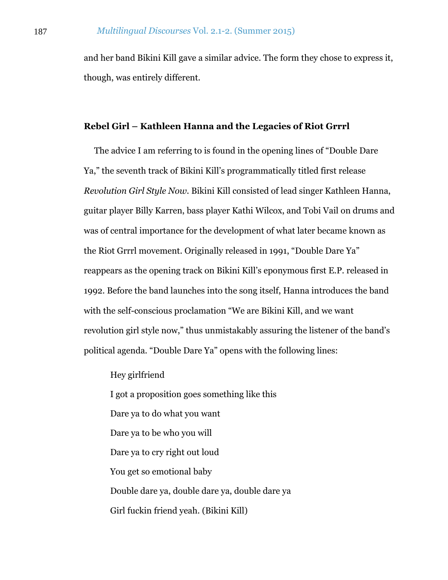and her band Bikini Kill gave a similar advice. The form they chose to express it, though, was entirely different.

### **Rebel Girl – Kathleen Hanna and the Legacies of Riot Grrrl**

The advice I am referring to is found in the opening lines of "Double Dare Ya," the seventh track of Bikini Kill's programmatically titled first release *Revolution Girl Style Now*. Bikini Kill consisted of lead singer Kathleen Hanna, guitar player Billy Karren, bass player Kathi Wilcox, and Tobi Vail on drums and was of central importance for the development of what later became known as the Riot Grrrl movement. Originally released in 1991, "Double Dare Ya" reappears as the opening track on Bikini Kill's eponymous first E.P. released in 1992. Before the band launches into the song itself, Hanna introduces the band with the self-conscious proclamation "We are Bikini Kill, and we want revolution girl style now," thus unmistakably assuring the listener of the band's political agenda. "Double Dare Ya" opens with the following lines:

I got a proposition goes something like this Dare ya to do what you want Dare ya to be who you will Dare ya to cry right out loud You get so emotional baby Double dare ya, double dare ya, double dare ya Girl fuckin friend yeah. (Bikini Kill)

Hey girlfriend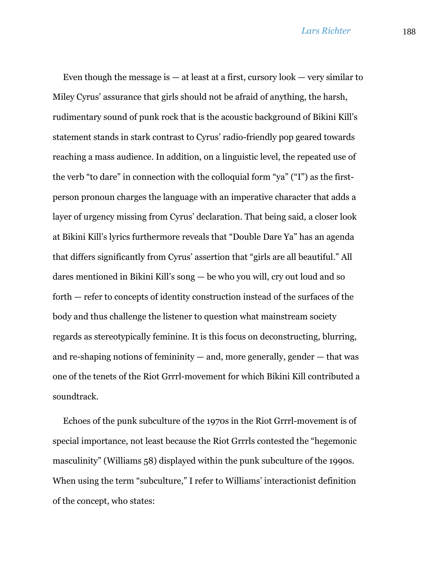Even though the message is  $-$  at least at a first, cursory look  $-$  very similar to Miley Cyrus' assurance that girls should not be afraid of anything, the harsh, rudimentary sound of punk rock that is the acoustic background of Bikini Kill's statement stands in stark contrast to Cyrus' radio-friendly pop geared towards reaching a mass audience. In addition, on a linguistic level, the repeated use of the verb "to dare" in connection with the colloquial form "ya" ("I") as the firstperson pronoun charges the language with an imperative character that adds a layer of urgency missing from Cyrus' declaration. That being said, a closer look at Bikini Kill's lyrics furthermore reveals that "Double Dare Ya" has an agenda that differs significantly from Cyrus' assertion that "girls are all beautiful." All dares mentioned in Bikini Kill's song — be who you will, cry out loud and so forth — refer to concepts of identity construction instead of the surfaces of the body and thus challenge the listener to question what mainstream society regards as stereotypically feminine. It is this focus on deconstructing, blurring, and re-shaping notions of femininity  $-$  and, more generally, gender  $-$  that was one of the tenets of the Riot Grrrl-movement for which Bikini Kill contributed a soundtrack.

Echoes of the punk subculture of the 1970s in the Riot Grrrl-movement is of special importance, not least because the Riot Grrrls contested the "hegemonic masculinity" (Williams 58) displayed within the punk subculture of the 1990s. When using the term "subculture," I refer to Williams' interactionist definition of the concept, who states: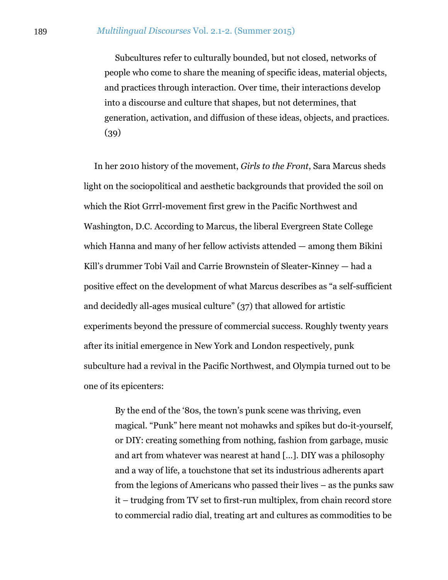Subcultures refer to culturally bounded, but not closed, networks of people who come to share the meaning of specific ideas, material objects, and practices through interaction. Over time, their interactions develop into a discourse and culture that shapes, but not determines, that generation, activation, and diffusion of these ideas, objects, and practices. (39)

In her 2010 history of the movement, *Girls to the Front*, Sara Marcus sheds light on the sociopolitical and aesthetic backgrounds that provided the soil on which the Riot Grrrl-movement first grew in the Pacific Northwest and Washington, D.C. According to Marcus, the liberal Evergreen State College which Hanna and many of her fellow activists attended — among them Bikini Kill's drummer Tobi Vail and Carrie Brownstein of Sleater-Kinney — had a positive effect on the development of what Marcus describes as "a self-sufficient and decidedly all-ages musical culture" (37) that allowed for artistic experiments beyond the pressure of commercial success. Roughly twenty years after its initial emergence in New York and London respectively, punk subculture had a revival in the Pacific Northwest, and Olympia turned out to be one of its epicenters:

By the end of the '80s, the town's punk scene was thriving, even magical. "Punk" here meant not mohawks and spikes but do-it-yourself, or DIY: creating something from nothing, fashion from garbage, music and art from whatever was nearest at hand […]. DIY was a philosophy and a way of life, a touchstone that set its industrious adherents apart from the legions of Americans who passed their lives – as the punks saw it – trudging from TV set to first-run multiplex, from chain record store to commercial radio dial, treating art and cultures as commodities to be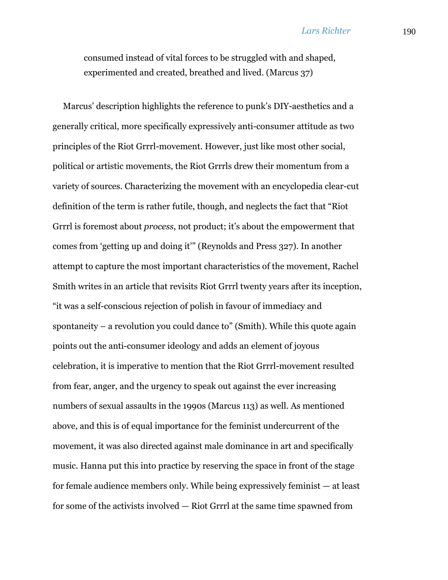consumed instead of vital forces to be struggled with and shaped, experimented and created, breathed and lived. (Marcus 37)

Marcus' description highlights the reference to punk's DIY-aesthetics and a generally critical, more specifically expressively anti-consumer attitude as two principles of the Riot Grrrl-movement. However, just like most other social, political or artistic movements, the Riot Grrrls drew their momentum from a variety of sources. Characterizing the movement with an encyclopedia clear-cut definition of the term is rather futile, though, and neglects the fact that "Riot Grrrl is foremost about *process*, not product; it's about the empowerment that comes from 'getting up and doing it'" (Reynolds and Press 327). In another attempt to capture the most important characteristics of the movement, Rachel Smith writes in an article that revisits Riot Grrrl twenty years after its inception, "it was a self-conscious rejection of polish in favour of immediacy and spontaneity – a revolution you could dance to" (Smith). While this quote again points out the anti-consumer ideology and adds an element of joyous celebration, it is imperative to mention that the Riot Grrrl-movement resulted from fear, anger, and the urgency to speak out against the ever increasing numbers of sexual assaults in the 1990s (Marcus 113) as well. As mentioned above, and this is of equal importance for the feminist undercurrent of the movement, it was also directed against male dominance in art and specifically music. Hanna put this into practice by reserving the space in front of the stage for female audience members only. While being expressively feminist — at least for some of the activists involved — Riot Grrrl at the same time spawned from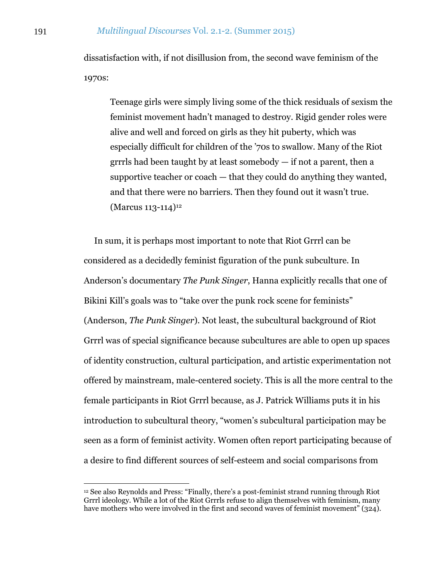dissatisfaction with, if not disillusion from, the second wave feminism of the 1970s:

Teenage girls were simply living some of the thick residuals of sexism the feminist movement hadn't managed to destroy. Rigid gender roles were alive and well and forced on girls as they hit puberty, which was especially difficult for children of the '70s to swallow. Many of the Riot grrrls had been taught by at least somebody  $-$  if not a parent, then a supportive teacher or coach — that they could do anything they wanted, and that there were no barriers. Then they found out it wasn't true. (Marcus 113-114)<sup>12</sup>

In sum, it is perhaps most important to note that Riot Grrrl can be considered as a decidedly feminist figuration of the punk subculture. In Anderson's documentary *The Punk Singer*, Hanna explicitly recalls that one of Bikini Kill's goals was to "take over the punk rock scene for feminists" (Anderson, *The Punk Singer*). Not least, the subcultural background of Riot Grrrl was of special significance because subcultures are able to open up spaces of identity construction, cultural participation, and artistic experimentation not offered by mainstream, male-centered society. This is all the more central to the female participants in Riot Grrrl because, as J. Patrick Williams puts it in his introduction to subcultural theory, "women's subcultural participation may be seen as a form of feminist activity. Women often report participating because of a desire to find different sources of self-esteem and social comparisons from

<sup>12</sup> See also Reynolds and Press: "Finally, there's a post-feminist strand running through Riot Grrrl ideology. While a lot of the Riot Grrrls refuse to align themselves with feminism, many have mothers who were involved in the first and second waves of feminist movement" (324).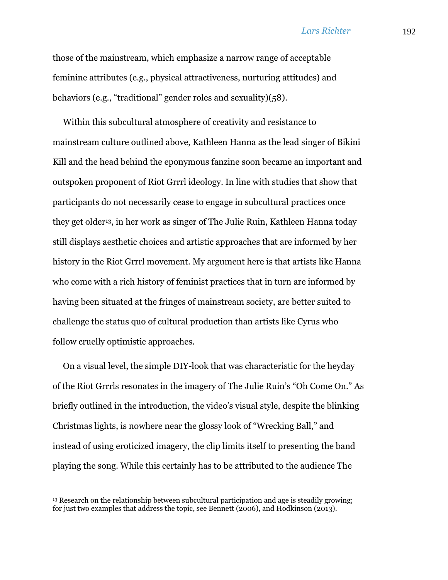#### *Lars Richter* 192

those of the mainstream, which emphasize a narrow range of acceptable feminine attributes (e.g., physical attractiveness, nurturing attitudes) and behaviors (e.g., "traditional" gender roles and sexuality)(58).

Within this subcultural atmosphere of creativity and resistance to mainstream culture outlined above, Kathleen Hanna as the lead singer of Bikini Kill and the head behind the eponymous fanzine soon became an important and outspoken proponent of Riot Grrrl ideology. In line with studies that show that participants do not necessarily cease to engage in subcultural practices once they get older13, in her work as singer of The Julie Ruin, Kathleen Hanna today still displays aesthetic choices and artistic approaches that are informed by her history in the Riot Grrrl movement. My argument here is that artists like Hanna who come with a rich history of feminist practices that in turn are informed by having been situated at the fringes of mainstream society, are better suited to challenge the status quo of cultural production than artists like Cyrus who follow cruelly optimistic approaches.

On a visual level, the simple DIY-look that was characteristic for the heyday of the Riot Grrrls resonates in the imagery of The Julie Ruin's "Oh Come On." As briefly outlined in the introduction, the video's visual style, despite the blinking Christmas lights, is nowhere near the glossy look of "Wrecking Ball," and instead of using eroticized imagery, the clip limits itself to presenting the band playing the song. While this certainly has to be attributed to the audience The

<sup>13</sup> Research on the relationship between subcultural participation and age is steadily growing; for just two examples that address the topic, see Bennett (2006), and Hodkinson (2013).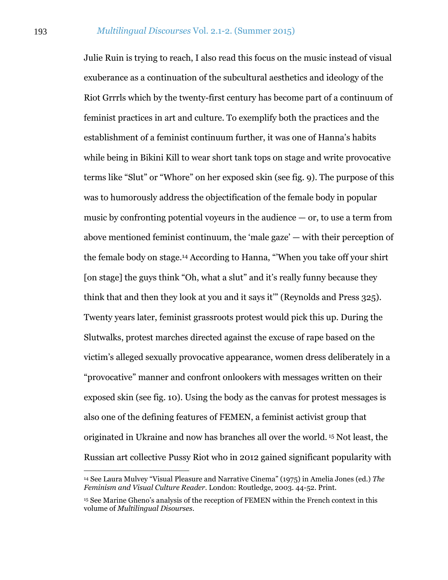Julie Ruin is trying to reach, I also read this focus on the music instead of visual exuberance as a continuation of the subcultural aesthetics and ideology of the Riot Grrrls which by the twenty-first century has become part of a continuum of feminist practices in art and culture. To exemplify both the practices and the establishment of a feminist continuum further, it was one of Hanna's habits while being in Bikini Kill to wear short tank tops on stage and write provocative terms like "Slut" or "Whore" on her exposed skin (see fig. 9). The purpose of this was to humorously address the objectification of the female body in popular music by confronting potential voyeurs in the audience  $-$  or, to use a term from above mentioned feminist continuum, the 'male gaze' — with their perception of the female body on stage.<sup>14</sup> According to Hanna, "'When you take off your shirt [on stage] the guys think "Oh, what a slut" and it's really funny because they think that and then they look at you and it says it'" (Reynolds and Press 325). Twenty years later, feminist grassroots protest would pick this up. During the Slutwalks, protest marches directed against the excuse of rape based on the victim's alleged sexually provocative appearance, women dress deliberately in a "provocative" manner and confront onlookers with messages written on their exposed skin (see fig. 10). Using the body as the canvas for protest messages is also one of the defining features of FEMEN, a feminist activist group that originated in Ukraine and now has branches all over the world. <sup>15</sup> Not least, the Russian art collective Pussy Riot who in 2012 gained significant popularity with

<sup>14</sup> See Laura Mulvey "Visual Pleasure and Narrative Cinema" (1975) in Amelia Jones (ed.) *The Feminism and Visual Culture Reader*. London: Routledge, 2003. 44-52. Print.

<sup>15</sup> See Marine Gheno's analysis of the reception of FEMEN within the French context in this volume of *Multilingual Disourses*.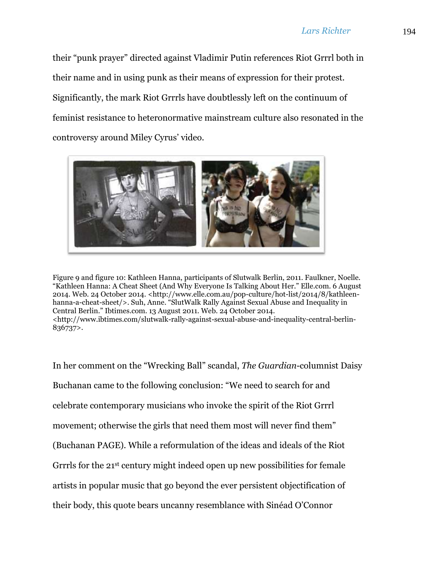their "punk prayer" directed against Vladimir Putin references Riot Grrrl both in their name and in using punk as their means of expression for their protest. Significantly, the mark Riot Grrrls have doubtlessly left on the continuum of feminist resistance to heteronormative mainstream culture also resonated in the controversy around Miley Cyrus' video.



Figure 9 and figure 10: Kathleen Hanna, participants of Slutwalk Berlin, 2011. Faulkner, Noelle. "Kathleen Hanna: A Cheat Sheet (And Why Everyone Is Talking About Her." Elle.com. 6 August 2014. Web. 24 October 2014. <http://www.elle.com.au/pop-culture/hot-list/2014/8/kathleenhanna-a-cheat-sheet/>. Suh, Anne. "SlutWalk Rally Against Sexual Abuse and Inequality in Central Berlin." Ibtimes.com. 13 August 2011. Web. 24 October 2014. <http://www.ibtimes.com/slutwalk-rally-against-sexual-abuse-and-inequality-central-berlin-836737>.

In her comment on the "Wrecking Ball" scandal, *The Guardian*-columnist Daisy Buchanan came to the following conclusion: "We need to search for and celebrate contemporary musicians who invoke the spirit of the Riot Grrrl movement; otherwise the girls that need them most will never find them" (Buchanan PAGE). While a reformulation of the ideas and ideals of the Riot Grrrls for the 21<sup>st</sup> century might indeed open up new possibilities for female artists in popular music that go beyond the ever persistent objectification of their body, this quote bears uncanny resemblance with Sinéad O'Connor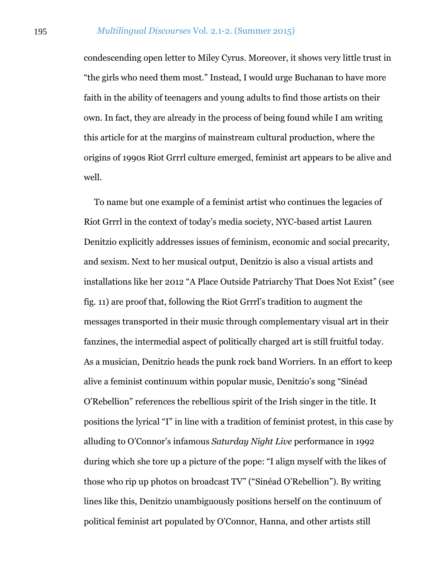condescending open letter to Miley Cyrus. Moreover, it shows very little trust in "the girls who need them most." Instead, I would urge Buchanan to have more faith in the ability of teenagers and young adults to find those artists on their own. In fact, they are already in the process of being found while I am writing this article for at the margins of mainstream cultural production, where the origins of 1990s Riot Grrrl culture emerged, feminist art appears to be alive and well.

To name but one example of a feminist artist who continues the legacies of Riot Grrrl in the context of today's media society, NYC-based artist Lauren Denitzio explicitly addresses issues of feminism, economic and social precarity, and sexism. Next to her musical output, Denitzio is also a visual artists and installations like her 2012 "A Place Outside Patriarchy That Does Not Exist" (see fig. 11) are proof that, following the Riot Grrrl's tradition to augment the messages transported in their music through complementary visual art in their fanzines, the intermedial aspect of politically charged art is still fruitful today. As a musician, Denitzio heads the punk rock band Worriers. In an effort to keep alive a feminist continuum within popular music, Denitzio's song "Sinéad O'Rebellion" references the rebellious spirit of the Irish singer in the title. It positions the lyrical "I" in line with a tradition of feminist protest, in this case by alluding to O'Connor's infamous *Saturday Night Live* performance in 1992 during which she tore up a picture of the pope: "I align myself with the likes of those who rip up photos on broadcast TV" ("Sinéad O'Rebellion"). By writing lines like this, Denitzio unambiguously positions herself on the continuum of political feminist art populated by O'Connor, Hanna, and other artists still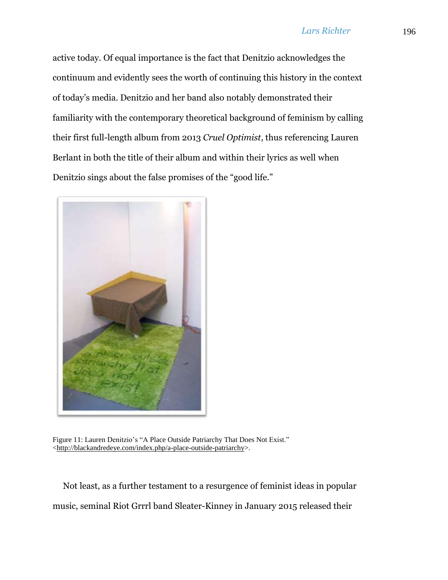#### *Lars Richter* 196

active today. Of equal importance is the fact that Denitzio acknowledges the continuum and evidently sees the worth of continuing this history in the context of today's media. Denitzio and her band also notably demonstrated their familiarity with the contemporary theoretical background of feminism by calling their first full-length album from 2013 *Cruel Optimist*, thus referencing Lauren Berlant in both the title of their album and within their lyrics as well when Denitzio sings about the false promises of the "good life."



Figure 11: Lauren Denitzio's "A Place Outside Patriarchy That Does Not Exist." [<http://blackandredeye.com/index.php/a-place-outside-patriarchy>](http://blackandredeye.com/index.php/a-place-outside-patriarchy/).

Not least, as a further testament to a resurgence of feminist ideas in popular music, seminal Riot Grrrl band Sleater-Kinney in January 2015 released their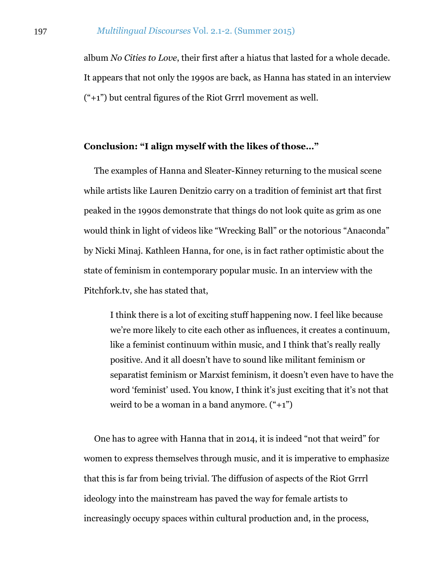album *No Cities to Love*, their first after a hiatus that lasted for a whole decade. It appears that not only the 1990s are back, as Hanna has stated in an interview  $("+1")$  but central figures of the Riot Grrrl movement as well.

# **Conclusion: "I align myself with the likes of those…"**

The examples of Hanna and Sleater-Kinney returning to the musical scene while artists like Lauren Denitzio carry on a tradition of feminist art that first peaked in the 1990s demonstrate that things do not look quite as grim as one would think in light of videos like "Wrecking Ball" or the notorious "Anaconda" by Nicki Minaj. Kathleen Hanna, for one, is in fact rather optimistic about the state of feminism in contemporary popular music. In an interview with the Pitchfork.tv, she has stated that,

I think there is a lot of exciting stuff happening now. I feel like because we're more likely to cite each other as influences, it creates a continuum, like a feminist continuum within music, and I think that's really really positive. And it all doesn't have to sound like militant feminism or separatist feminism or Marxist feminism, it doesn't even have to have the word 'feminist' used. You know, I think it's just exciting that it's not that weird to be a woman in a band anymore.  $("+1")$ 

One has to agree with Hanna that in 2014, it is indeed "not that weird" for women to express themselves through music, and it is imperative to emphasize that this is far from being trivial. The diffusion of aspects of the Riot Grrrl ideology into the mainstream has paved the way for female artists to increasingly occupy spaces within cultural production and, in the process,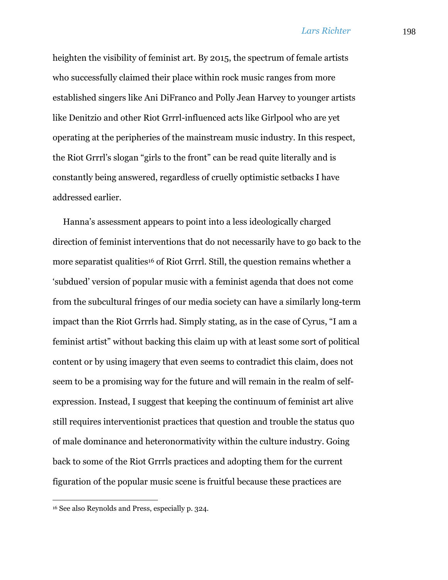#### *Lars Richter* 198

heighten the visibility of feminist art. By 2015, the spectrum of female artists who successfully claimed their place within rock music ranges from more established singers like Ani DiFranco and Polly Jean Harvey to younger artists like Denitzio and other Riot Grrrl-influenced acts like Girlpool who are yet operating at the peripheries of the mainstream music industry. In this respect, the Riot Grrrl's slogan "girls to the front" can be read quite literally and is constantly being answered, regardless of cruelly optimistic setbacks I have addressed earlier.

Hanna's assessment appears to point into a less ideologically charged direction of feminist interventions that do not necessarily have to go back to the more separatist qualities<sup>16</sup> of Riot Grrrl. Still, the question remains whether a 'subdued' version of popular music with a feminist agenda that does not come from the subcultural fringes of our media society can have a similarly long-term impact than the Riot Grrrls had. Simply stating, as in the case of Cyrus, "I am a feminist artist" without backing this claim up with at least some sort of political content or by using imagery that even seems to contradict this claim, does not seem to be a promising way for the future and will remain in the realm of selfexpression. Instead, I suggest that keeping the continuum of feminist art alive still requires interventionist practices that question and trouble the status quo of male dominance and heteronormativity within the culture industry. Going back to some of the Riot Grrrls practices and adopting them for the current figuration of the popular music scene is fruitful because these practices are

<sup>16</sup> See also Reynolds and Press, especially p. 324.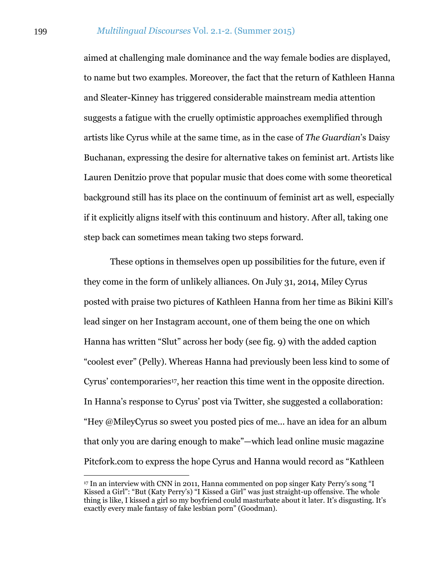aimed at challenging male dominance and the way female bodies are displayed, to name but two examples. Moreover, the fact that the return of Kathleen Hanna and Sleater-Kinney has triggered considerable mainstream media attention suggests a fatigue with the cruelly optimistic approaches exemplified through artists like Cyrus while at the same time, as in the case of *The Guardian*'s Daisy Buchanan, expressing the desire for alternative takes on feminist art. Artists like Lauren Denitzio prove that popular music that does come with some theoretical background still has its place on the continuum of feminist art as well, especially if it explicitly aligns itself with this continuum and history. After all, taking one step back can sometimes mean taking two steps forward.

These options in themselves open up possibilities for the future, even if they come in the form of unlikely alliances. On July 31, 2014, Miley Cyrus posted with praise two pictures of Kathleen Hanna from her time as Bikini Kill's lead singer on her Instagram account, one of them being the one on which Hanna has written "Slut" across her body (see fig. 9) with the added caption "coolest ever" (Pelly). Whereas Hanna had previously been less kind to some of Cyrus' contemporaries<sup>17</sup>, her reaction this time went in the opposite direction. In Hanna's response to Cyrus' post via Twitter, she suggested a collaboration: "Hey @MileyCyrus so sweet you posted pics of me... have an idea for an album that only you are daring enough to make"—which lead online music magazine Pitcfork.com to express the hope Cyrus and Hanna would record as "Kathleen

<sup>17</sup> In an interview with CNN in 2011, Hanna commented on pop singer Katy Perry's song "I Kissed a Girl": "But (Katy Perry's) "I Kissed a Girl" was just straight-up offensive. The whole thing is like, I kissed a girl so my boyfriend could masturbate about it later. It's disgusting. It's exactly every male fantasy of fake lesbian porn" (Goodman).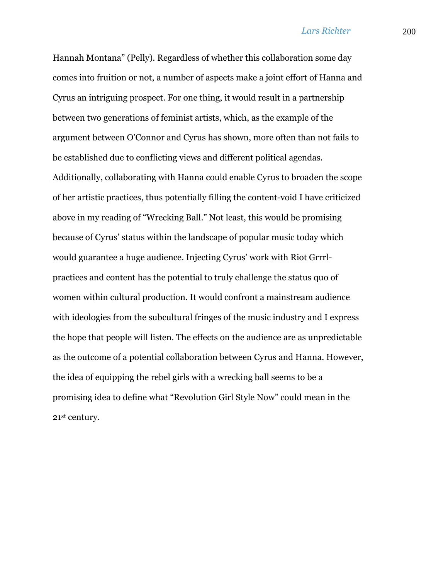#### *Lars Richter* 200

Hannah Montana" (Pelly). Regardless of whether this collaboration some day comes into fruition or not, a number of aspects make a joint effort of Hanna and Cyrus an intriguing prospect. For one thing, it would result in a partnership between two generations of feminist artists, which, as the example of the argument between O'Connor and Cyrus has shown, more often than not fails to be established due to conflicting views and different political agendas. Additionally, collaborating with Hanna could enable Cyrus to broaden the scope of her artistic practices, thus potentially filling the content-void I have criticized above in my reading of "Wrecking Ball." Not least, this would be promising because of Cyrus' status within the landscape of popular music today which would guarantee a huge audience. Injecting Cyrus' work with Riot Grrrlpractices and content has the potential to truly challenge the status quo of women within cultural production. It would confront a mainstream audience with ideologies from the subcultural fringes of the music industry and I express the hope that people will listen. The effects on the audience are as unpredictable as the outcome of a potential collaboration between Cyrus and Hanna. However, the idea of equipping the rebel girls with a wrecking ball seems to be a promising idea to define what "Revolution Girl Style Now" could mean in the 21st century.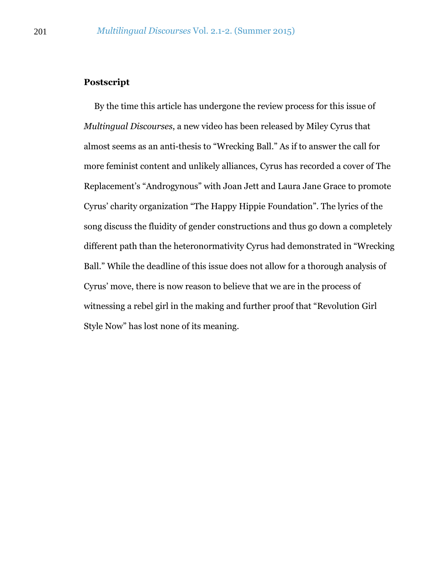# **Postscript**

By the time this article has undergone the review process for this issue of *Multingual Discourses*, a new video has been released by Miley Cyrus that almost seems as an anti-thesis to "Wrecking Ball." As if to answer the call for more feminist content and unlikely alliances, Cyrus has recorded a cover of The Replacement's "Androgynous" with Joan Jett and Laura Jane Grace to promote Cyrus' charity organization "The Happy Hippie Foundation". The lyrics of the song discuss the fluidity of gender constructions and thus go down a completely different path than the heteronormativity Cyrus had demonstrated in "Wrecking Ball." While the deadline of this issue does not allow for a thorough analysis of Cyrus' move, there is now reason to believe that we are in the process of witnessing a rebel girl in the making and further proof that "Revolution Girl Style Now" has lost none of its meaning.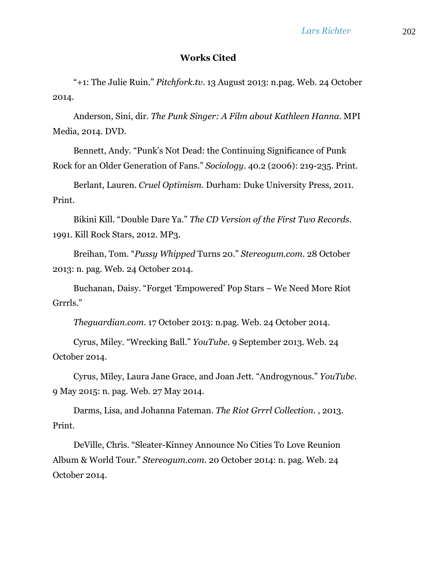## **Works Cited**

"+1: The Julie Ruin." *Pitchfork.tv*. 13 August 2013: n.pag. Web. 24 October 2014.

Anderson, Sini, dir. *The Punk Singer: A Film about Kathleen Hanna*. MPI Media, 2014. DVD.

Bennett, Andy. "Punk's Not Dead: the Continuing Significance of Punk Rock for an Older Generation of Fans." *Sociology*. 40.2 (2006): 219-235. Print.

Berlant, Lauren. *Cruel Optimism*. Durham: Duke University Press, 2011. Print.

Bikini Kill. "Double Dare Ya." *The CD Version of the First Two Records*. 1991. Kill Rock Stars, 2012. MP3.

Breihan, Tom. "*Pussy Whipped* Turns 20." *Stereogum.com*. 28 October 2013: n. pag. Web. 24 October 2014.

Buchanan, Daisy. "Forget 'Empowered' Pop Stars – We Need More Riot Grrrls."

*Theguardian.com*. 17 October 2013: n.pag. Web. 24 October 2014.

Cyrus, Miley. "Wrecking Ball." *YouTube*. 9 September 2013. Web. 24 October 2014.

Cyrus, Miley, Laura Jane Grace, and Joan Jett. "Androgynous." *YouTube*. 9 May 2015: n. pag. Web. 27 May 2014.

Darms, Lisa, and Johanna Fateman. *The Riot Grrrl Collection*. , 2013. Print.

DeVille, Chris. "Sleater-Kinney Announce No Cities To Love Reunion Album & World Tour." *Stereogum.com*. 20 October 2014: n. pag. Web. 24 October 2014.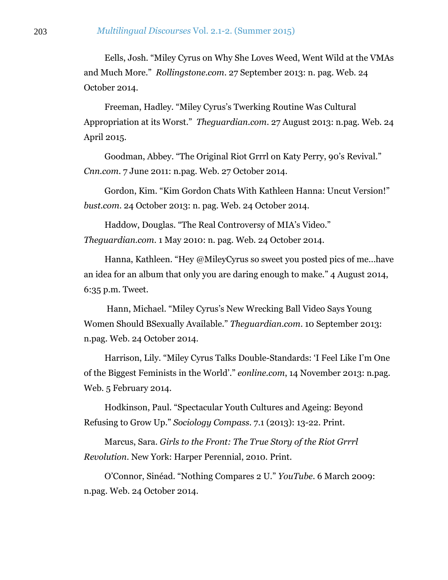Eells, Josh. "Miley Cyrus on Why She Loves Weed, Went Wild at the VMAs and Much More." *Rollingstone.com*. 27 September 2013: n. pag. Web. 24 October 2014.

Freeman, Hadley. "Miley Cyrus's Twerking Routine Was Cultural Appropriation at its Worst." *Theguardian.com*. 27 August 2013: n.pag. Web. 24 April 2015.

Goodman, Abbey. "The Original Riot Grrrl on Katy Perry, 90's Revival." *Cnn.com*. 7 June 2011: n.pag. Web. 27 October 2014.

Gordon, Kim. "Kim Gordon Chats With Kathleen Hanna: Uncut Version!" *bust.com*. 24 October 2013: n. pag. Web. 24 October 2014.

Haddow, Douglas. "The Real Controversy of MIA's Video." *Theguardian.com*. 1 May 2010: n. pag. Web. 24 October 2014.

Hanna, Kathleen. "Hey @MileyCyrus so sweet you posted pics of me...have an idea for an album that only you are daring enough to make." 4 August 2014, 6:35 p.m. Tweet.

Hann, Michael. "Miley Cyrus's New Wrecking Ball Video Says Young Women Should BSexually Available." *Theguardian.com*. 10 September 2013: n.pag. Web. 24 October 2014.

Harrison, Lily. "Miley Cyrus Talks Double-Standards: 'I Feel Like I'm One of the Biggest Feminists in the World'." *eonline.com*, 14 November 2013: n.pag. Web. 5 February 2014.

Hodkinson, Paul. "Spectacular Youth Cultures and Ageing: Beyond Refusing to Grow Up." *Sociology Compass*. 7.1 (2013): 13-22. Print.

Marcus, Sara. *Girls to the Front: The True Story of the Riot Grrrl Revolution*. New York: Harper Perennial, 2010. Print.

O'Connor, Sinéad. "Nothing Compares 2 U." *YouTube*. 6 March 2009: n.pag. Web. 24 October 2014.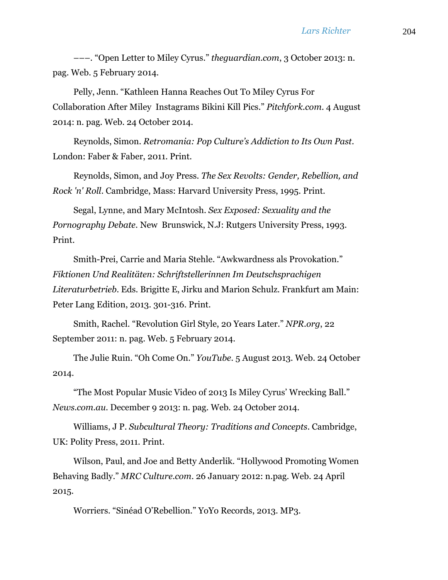–––. "Open Letter to Miley Cyrus." *theguardian.com*, 3 October 2013: n. pag. Web. 5 February 2014.

Pelly, Jenn. "Kathleen Hanna Reaches Out To Miley Cyrus For Collaboration After Miley Instagrams Bikini Kill Pics." *Pitchfork.com*. 4 August 2014: n. pag. Web. 24 October 2014.

Reynolds, Simon. *Retromania: Pop Culture's Addiction to Its Own Past*. London: Faber & Faber, 2011. Print.

Reynolds, Simon, and Joy Press. *The Sex Revolts: Gender, Rebellion, and Rock 'n' Roll*. Cambridge, Mass: Harvard University Press, 1995. Print.

Segal, Lynne, and Mary McIntosh. *Sex Exposed: Sexuality and the Pornography Debate*. New Brunswick, N.J: Rutgers University Press, 1993. Print.

Smith-Prei, Carrie and Maria Stehle. "Awkwardness als Provokation." *Fiktionen Und Realitäten: Schriftstellerinnen Im Deutschsprachigen Literaturbetrieb*. Eds. Brigitte E, Jirku and Marion Schulz. Frankfurt am Main: Peter Lang Edition, 2013. 301-316. Print.

Smith, Rachel. "Revolution Girl Style, 20 Years Later." *NPR.org*, 22 September 2011: n. pag. Web. 5 February 2014.

The Julie Ruin. "Oh Come On." *YouTube*. 5 August 2013. Web. 24 October 2014.

"The Most Popular Music Video of 2013 Is Miley Cyrus' Wrecking Ball." *News.com.au*. December 9 2013: n. pag. Web. 24 October 2014.

Williams, J P. *Subcultural Theory: Traditions and Concepts*. Cambridge, UK: Polity Press, 2011. Print.

Wilson, Paul, and Joe and Betty Anderlik. "Hollywood Promoting Women Behaving Badly." *MRC Culture.com*. 26 January 2012: n.pag. Web. 24 April 2015.

Worriers. "Sinéad O'Rebellion." YoYo Records, 2013. MP3.